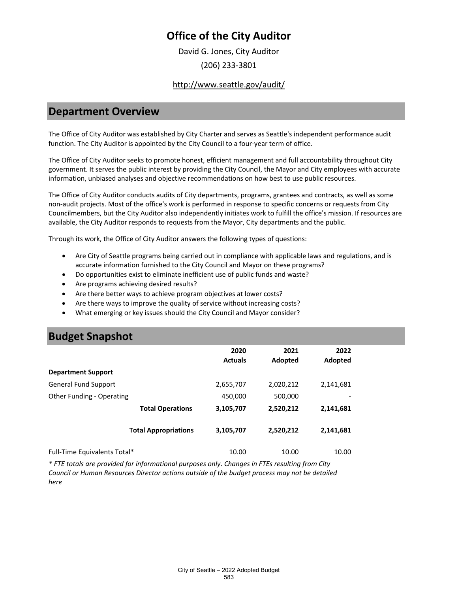# **Office of the City Auditor**

David G. Jones, City Auditor (206) 233-3801

#### <http://www.seattle.gov/audit/>

### **Department Overview**

The Office of City Auditor was established by City Charter and serves as Seattle's independent performance audit function. The City Auditor is appointed by the City Council to a four-year term of office.

The Office of City Auditor seeks to promote honest, efficient management and full accountability throughout City government. It serves the public interest by providing the City Council, the Mayor and City employees with accurate information, unbiased analyses and objective recommendations on how best to use public resources.

The Office of City Auditor conducts audits of City departments, programs, grantees and contracts, as well as some non-audit projects. Most of the office's work is performed in response to specific concerns or requests from City Councilmembers, but the City Auditor also independently initiates work to fulfill the office's mission. If resources are available, the City Auditor responds to requests from the Mayor, City departments and the public.

Through its work, the Office of City Auditor answers the following types of questions:

- Are City of Seattle programs being carried out in compliance with applicable laws and regulations, and is accurate information furnished to the City Council and Mayor on these programs?
- Do opportunities exist to eliminate inefficient use of public funds and waste?
- Are programs achieving desired results?
- Are there better ways to achieve program objectives at lower costs?
- Are there ways to improve the quality of service without increasing costs?
- What emerging or key issues should the City Council and Mayor consider?

# **Budget Snapshot**

|                              | 2020<br><b>Actuals</b> | 2021<br>Adopted | 2022<br>Adopted |
|------------------------------|------------------------|-----------------|-----------------|
| <b>Department Support</b>    |                        |                 |                 |
| <b>General Fund Support</b>  | 2,655,707              | 2,020,212       | 2,141,681       |
| Other Funding - Operating    | 450,000                | 500,000         |                 |
| <b>Total Operations</b>      | 3,105,707              | 2,520,212       | 2,141,681       |
| <b>Total Appropriations</b>  | 3,105,707              | 2,520,212       | 2,141,681       |
| Full-Time Equivalents Total* | 10.00                  | 10.00           | 10.00           |

*\* FTE totals are provided for informational purposes only. Changes in FTEs resulting from City Council or Human Resources Director actions outside of the budget process may not be detailed here*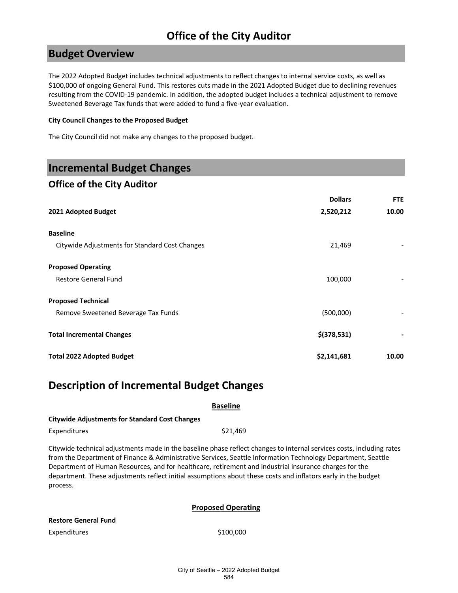# **Office of the City Auditor**

## **Budget Overview**

The 2022 Adopted Budget includes technical adjustments to reflect changes to internal service costs, as well as \$100,000 of ongoing General Fund. This restores cuts made in the 2021 Adopted Budget due to declining revenues resulting from the COVID-19 pandemic. In addition, the adopted budget includes a technical adjustment to remove Sweetened Beverage Tax funds that were added to fund a five-year evaluation.

#### **City Council Changes to the Proposed Budget**

The City Council did not make any changes to the proposed budget.

## **Incremental Budget Changes**

### **Office of the City Auditor**

| 2021 Adopted Budget                            | <b>Dollars</b><br>2,520,212 | <b>FTE</b><br>10.00 |
|------------------------------------------------|-----------------------------|---------------------|
| <b>Baseline</b>                                |                             |                     |
| Citywide Adjustments for Standard Cost Changes | 21,469                      |                     |
| <b>Proposed Operating</b>                      |                             |                     |
| <b>Restore General Fund</b>                    | 100,000                     |                     |
| <b>Proposed Technical</b>                      |                             |                     |
| Remove Sweetened Beverage Tax Funds            | (500,000)                   |                     |
| <b>Total Incremental Changes</b>               | $$$ (378,531)               |                     |
| <b>Total 2022 Adopted Budget</b>               | \$2,141,681                 | 10.00               |

## **Description of Incremental Budget Changes**

|                                                       | <b>Baseline</b>                                                                                                                                                                                                                                                                                                                                                                                                                                                  |  |
|-------------------------------------------------------|------------------------------------------------------------------------------------------------------------------------------------------------------------------------------------------------------------------------------------------------------------------------------------------------------------------------------------------------------------------------------------------------------------------------------------------------------------------|--|
| <b>Citywide Adjustments for Standard Cost Changes</b> |                                                                                                                                                                                                                                                                                                                                                                                                                                                                  |  |
| <b>Expenditures</b>                                   | \$21,469                                                                                                                                                                                                                                                                                                                                                                                                                                                         |  |
| process.                                              | Citywide technical adjustments made in the baseline phase reflect changes to internal services costs, including rates<br>from the Department of Finance & Administrative Services, Seattle Information Technology Department, Seattle<br>Department of Human Resources, and for healthcare, retirement and industrial insurance charges for the<br>department. These adjustments reflect initial assumptions about these costs and inflators early in the budget |  |

#### **Proposed Operating**

#### **Restore General Fund**

Expenditures \$100,000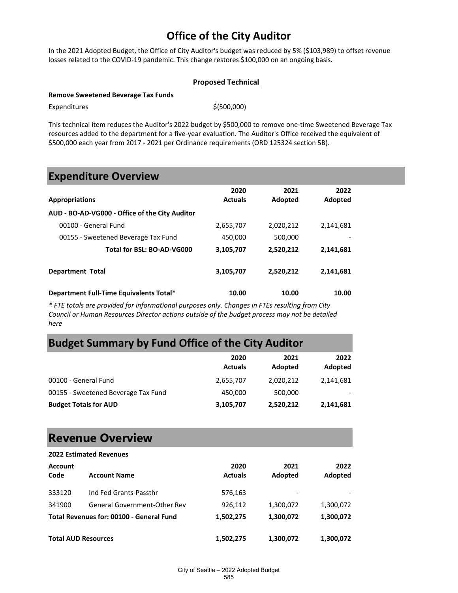# **Office of the City Auditor**

In the 2021 Adopted Budget, the Office of City Auditor's budget was reduced by 5% (\$103,989) to offset revenue losses related to the COVID-19 pandemic. This change restores \$100,000 on an ongoing basis.

#### **Proposed Technical**

#### **Remove Sweetened Beverage Tax Funds**

 $Expenditures$   $$(500,000)$ 

This technical item reduces the Auditor's 2022 budget by \$500,000 to remove one-time Sweetened Beverage Tax resources added to the department for a five-year evaluation. The Auditor's Office received the equivalent of \$500,000 each year from 2017 - 2021 per Ordinance requirements (ORD 125324 section 5B).

### **Expenditure Overview**

|                                                | 2020           | 2021      | 2022      |
|------------------------------------------------|----------------|-----------|-----------|
| <b>Appropriations</b>                          | <b>Actuals</b> | Adopted   | Adopted   |
| AUD - BO-AD-VG000 - Office of the City Auditor |                |           |           |
| 00100 - General Fund                           | 2,655,707      | 2,020,212 | 2,141,681 |
| 00155 - Sweetened Beverage Tax Fund            | 450.000        | 500,000   |           |
| Total for BSL: BO-AD-VG000                     | 3,105,707      | 2,520,212 | 2,141,681 |
| <b>Department Total</b>                        | 3,105,707      | 2,520,212 | 2,141,681 |
| Department Full-Time Equivalents Total*        | 10.00          | 10.00     | 10.00     |

*\* FTE totals are provided for informational purposes only. Changes in FTEs resulting from City Council or Human Resources Director actions outside of the budget process may not be detailed here*

### **Budget Summary by Fund Office of the City Auditor**

|                                     | 2020<br><b>Actuals</b> | 2021<br>Adopted | 2022<br>Adopted |
|-------------------------------------|------------------------|-----------------|-----------------|
| 00100 - General Fund                | 2,655,707              | 2,020,212       | 2,141,681       |
| 00155 - Sweetened Beverage Tax Fund | 450.000                | 500,000         |                 |
| <b>Budget Totals for AUD</b>        | 3,105,707              | 2,520,212       | 2,141,681       |

# **Revenue Overview**

|                        | <b>2022 Estimated Revenues</b>           |                        |                 |                 |
|------------------------|------------------------------------------|------------------------|-----------------|-----------------|
| <b>Account</b><br>Code | <b>Account Name</b>                      | 2020<br><b>Actuals</b> | 2021<br>Adopted | 2022<br>Adopted |
| 333120                 | Ind Fed Grants-Passthr                   | 576,163                |                 |                 |
| 341900                 | General Government-Other Rev             | 926,112                | 1,300,072       | 1,300,072       |
|                        | Total Revenues for: 00100 - General Fund | 1,502,275              | 1,300,072       | 1,300,072       |
|                        | <b>Total AUD Resources</b>               | 1,502,275              | 1,300,072       | 1,300,072       |